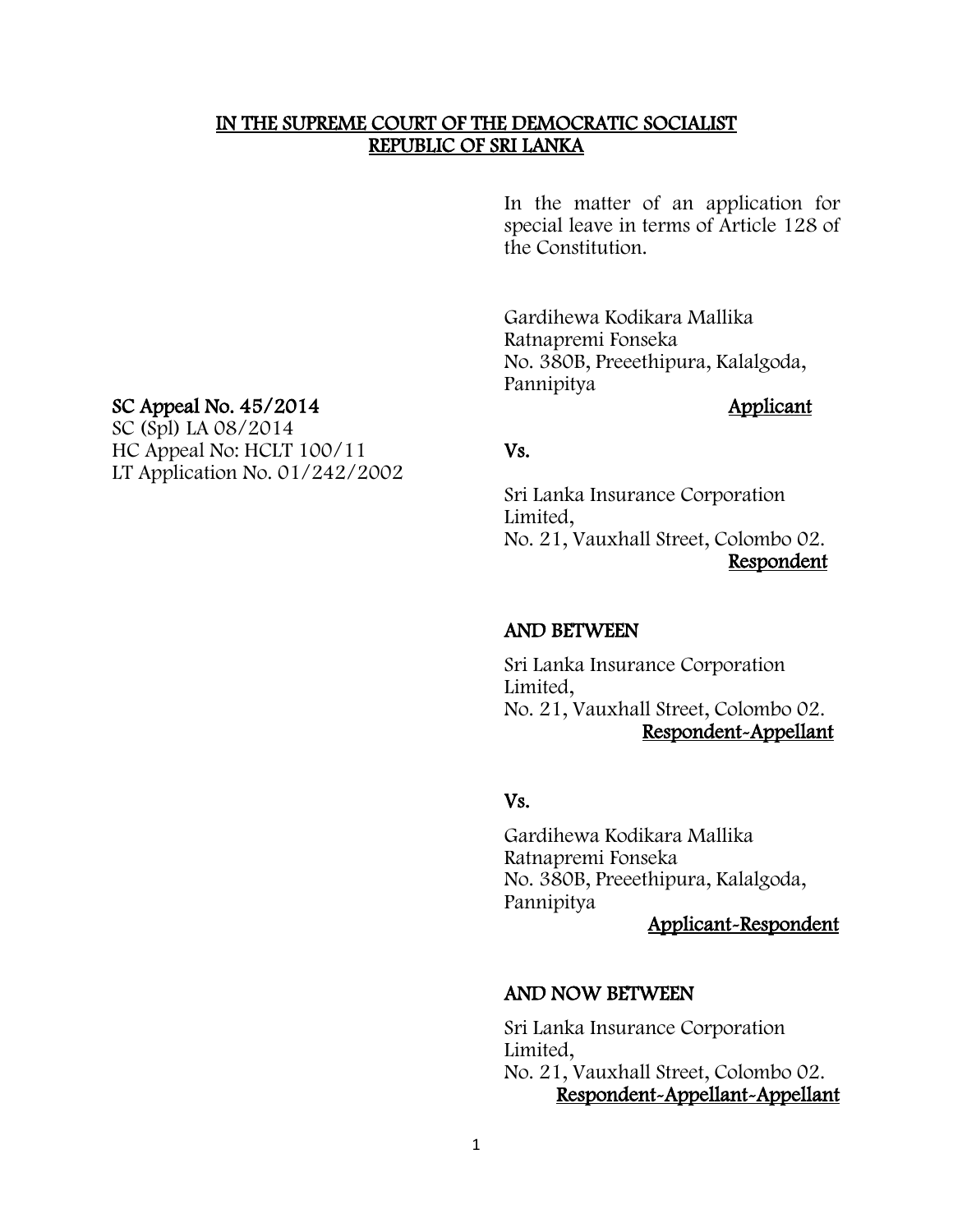#### IN THE SUPREME COURT OF THE DEMOCRATIC SOCIALIST REPUBLIC OF SRI LANKA

In the matter of an application for special leave in terms of Article 128 of the Constitution.

Gardihewa Kodikara Mallika Ratnapremi Fonseka No. 380B, Preeethipura, Kalalgoda, Pannipitya

Sri Lanka Insurance Corporation Limited, No. 21, Vauxhall Street, Colombo 02. Respondent

#### AND BETWEEN

Sri Lanka Insurance Corporation Limited, No. 21, Vauxhall Street, Colombo 02. Respondent-Appellant

#### Vs.

Gardihewa Kodikara Mallika Ratnapremi Fonseka No. 380B, Preeethipura, Kalalgoda, Pannipitya

Applicant-Respondent

#### AND NOW BETWEEN

Sri Lanka Insurance Corporation Limited, No. 21, Vauxhall Street, Colombo 02. Respondent-Appellant-Appellant

#### SC Appeal No. 45/2014 Applicant

SC (Spl) LA 08/2014 HC Appeal No: HCLT 100/11 Vs. LT Application No. 01/242/2002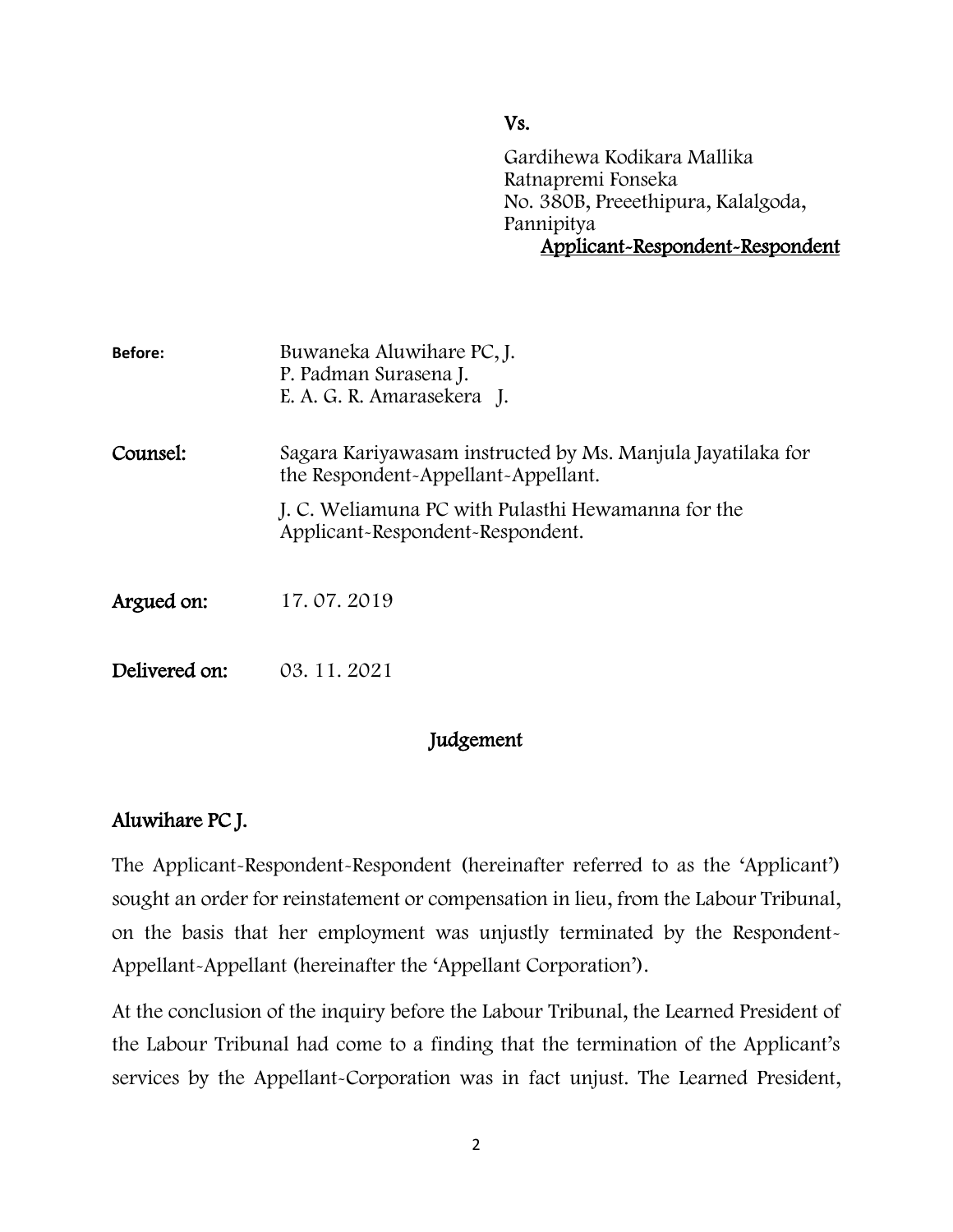Vs.

Gardihewa Kodikara Mallika Ratnapremi Fonseka No. 380B, Preeethipura, Kalalgoda, Pannipitya Applicant-Respondent-Respondent

| <b>Before:</b> | Buwaneka Aluwihare PC, J.<br>P. Padman Surasena J.<br>E. A. G. R. Amarasekera J.                   |
|----------------|----------------------------------------------------------------------------------------------------|
| Counsel:       | Sagara Kariyawasam instructed by Ms. Manjula Jayatilaka for<br>the Respondent-Appellant-Appellant. |
|                | J. C. Weliamuna PC with Pulasthi Hewamanna for the<br>Applicant-Respondent-Respondent.             |
| Argued on:     | 17.07.2019                                                                                         |
| Delivered on:  | 03.11.2021                                                                                         |

# Judgement

# Aluwihare PC J.

The Applicant-Respondent-Respondent (hereinafter referred to as the 'Applicant') sought an order for reinstatement or compensation in lieu, from the Labour Tribunal, on the basis that her employment was unjustly terminated by the Respondent-Appellant-Appellant (hereinafter the 'Appellant Corporation').

At the conclusion of the inquiry before the Labour Tribunal, the Learned President of the Labour Tribunal had come to a finding that the termination of the Applicant's services by the Appellant-Corporation was in fact unjust. The Learned President,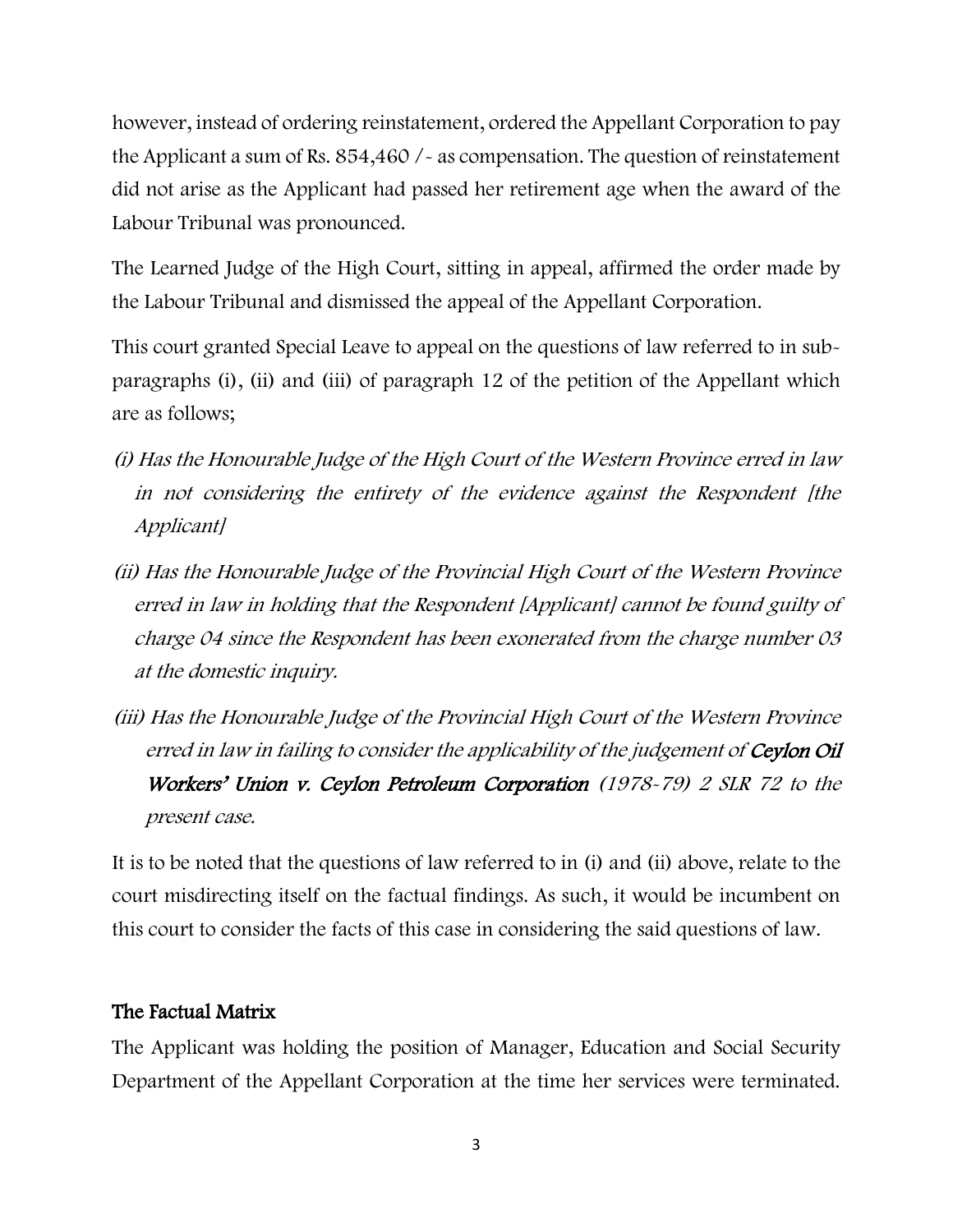however, instead of ordering reinstatement, ordered the Appellant Corporation to pay the Applicant a sum of Rs. 854,460 /- as compensation. The question of reinstatement did not arise as the Applicant had passed her retirement age when the award of the Labour Tribunal was pronounced.

The Learned Judge of the High Court, sitting in appeal, affirmed the order made by the Labour Tribunal and dismissed the appeal of the Appellant Corporation.

This court granted Special Leave to appeal on the questions of law referred to in subparagraphs (i), (ii) and (iii) of paragraph 12 of the petition of the Appellant which are as follows;

- (i) Has the Honourable Judge of the High Court of the Western Province erred in law in not considering the entirety of the evidence against the Respondent [the Applicant]
- (ii) Has the Honourable Judge of the Provincial High Court of the Western Province erred in law in holding that the Respondent [Applicant] cannot be found guilty of charge 04 since the Respondent has been exonerated from the charge number 03 at the domestic inquiry.
- (iii) Has the Honourable Judge of the Provincial High Court of the Western Province erred in law in failing to consider the applicability of the judgement of **Ceylon Oil** Workers' Union v. Ceylon Petroleum Corporation (1978-79) 2 SLR 72 to the present case.

It is to be noted that the questions of law referred to in (i) and (ii) above, relate to the court misdirecting itself on the factual findings. As such, it would be incumbent on this court to consider the facts of this case in considering the said questions of law.

## The Factual Matrix

The Applicant was holding the position of Manager, Education and Social Security Department of the Appellant Corporation at the time her services were terminated.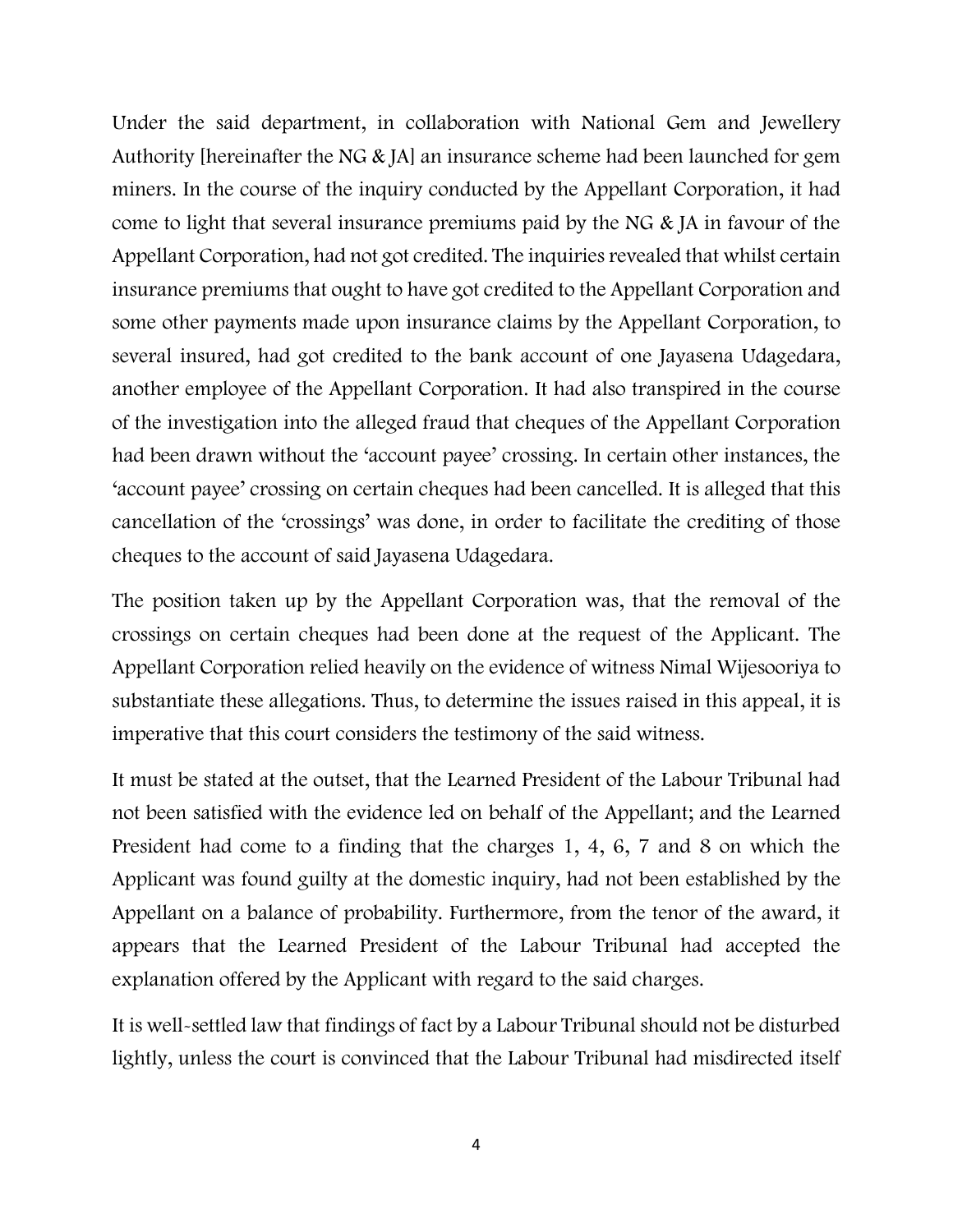Under the said department, in collaboration with National Gem and Jewellery Authority [hereinafter the NG & JA] an insurance scheme had been launched for gem miners. In the course of the inquiry conducted by the Appellant Corporation, it had come to light that several insurance premiums paid by the NG & JA in favour of the Appellant Corporation, had not got credited. The inquiries revealed that whilst certain insurance premiums that ought to have got credited to the Appellant Corporation and some other payments made upon insurance claims by the Appellant Corporation, to several insured, had got credited to the bank account of one Jayasena Udagedara, another employee of the Appellant Corporation. It had also transpired in the course of the investigation into the alleged fraud that cheques of the Appellant Corporation had been drawn without the 'account payee' crossing. In certain other instances, the 'account payee' crossing on certain cheques had been cancelled. It is alleged that this cancellation of the 'crossings' was done, in order to facilitate the crediting of those cheques to the account of said Jayasena Udagedara.

The position taken up by the Appellant Corporation was, that the removal of the crossings on certain cheques had been done at the request of the Applicant. The Appellant Corporation relied heavily on the evidence of witness Nimal Wijesooriya to substantiate these allegations. Thus, to determine the issues raised in this appeal, it is imperative that this court considers the testimony of the said witness.

It must be stated at the outset, that the Learned President of the Labour Tribunal had not been satisfied with the evidence led on behalf of the Appellant; and the Learned President had come to a finding that the charges 1, 4, 6, 7 and 8 on which the Applicant was found guilty at the domestic inquiry, had not been established by the Appellant on a balance of probability. Furthermore, from the tenor of the award, it appears that the Learned President of the Labour Tribunal had accepted the explanation offered by the Applicant with regard to the said charges.

It is well-settled law that findings of fact by a Labour Tribunal should not be disturbed lightly, unless the court is convinced that the Labour Tribunal had misdirected itself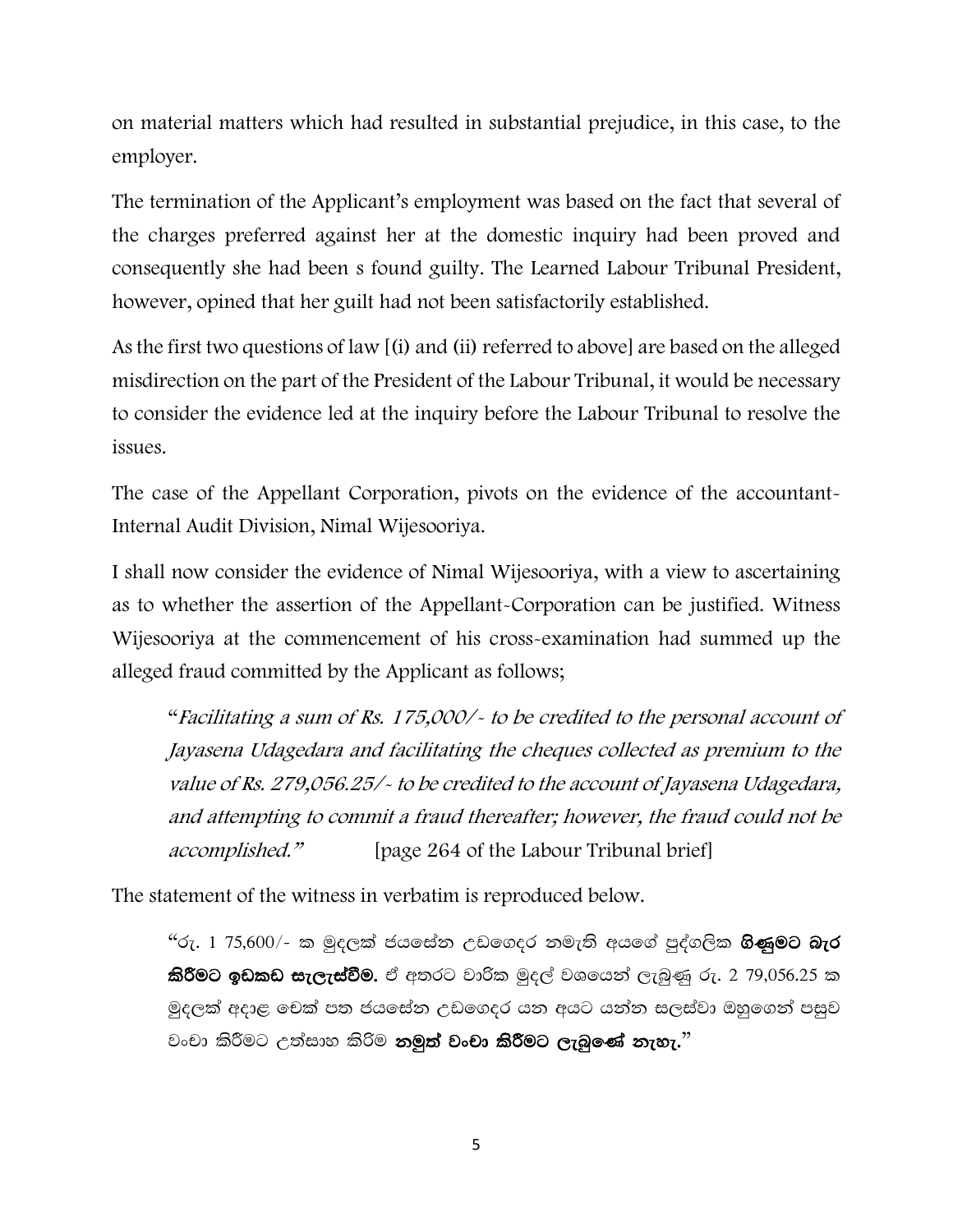on material matters which had resulted in substantial prejudice, in this case, to the employer.

The termination of the Applicant's employment was based on the fact that several of the charges preferred against her at the domestic inquiry had been proved and consequently she had been s found guilty. The Learned Labour Tribunal President, however, opined that her guilt had not been satisfactorily established.

As the first two questions of law [(i) and (ii) referred to above] are based on the alleged misdirection on the part of the President of the Labour Tribunal, it would be necessary to consider the evidence led at the inquiry before the Labour Tribunal to resolve the issues.

The case of the Appellant Corporation, pivots on the evidence of the accountant-Internal Audit Division, Nimal Wijesooriya.

I shall now consider the evidence of Nimal Wijesooriya, with a view to ascertaining as to whether the assertion of the Appellant-Corporation can be justified. Witness Wijesooriya at the commencement of his cross-examination had summed up the alleged fraud committed by the Applicant as follows;

"Facilitating a sum of Rs. 175,000/- to be credited to the personal account of Jayasena Udagedara and facilitating the cheques collected as premium to the value of Rs. 279,056.25/- to be credited to the account of Jayasena Udagedara, and attempting to commit a fraud thereafter; however, the fraud could not be accomplished." [page 264 of the Labour Tribunal brief]

The statement of the witness in verbatim is reproduced below.

 $46$ ු 1 75,600/- ක මුදලක් ජයසේන උඩගෙදර නමැති අයගේ පුද්ගලික **ගිණුමට බැර** කිරීමට ඉඩකඩ සැලැස්වීම. ඒ අතරට වාරික මුදල් වශයෙන් ලැබුණු රු. 2 79,056.25 ක මුදලක් අදාළ චෙක් පත ජයසේන උඩගෙදර යන අයට යන්න සලස්වා ඔහුගෙන් පසුව වංචා කිරීමට උත්සාහ කිරිම **නමුත් වංචා කිරීමට ලැබුණේ නැහැ.**"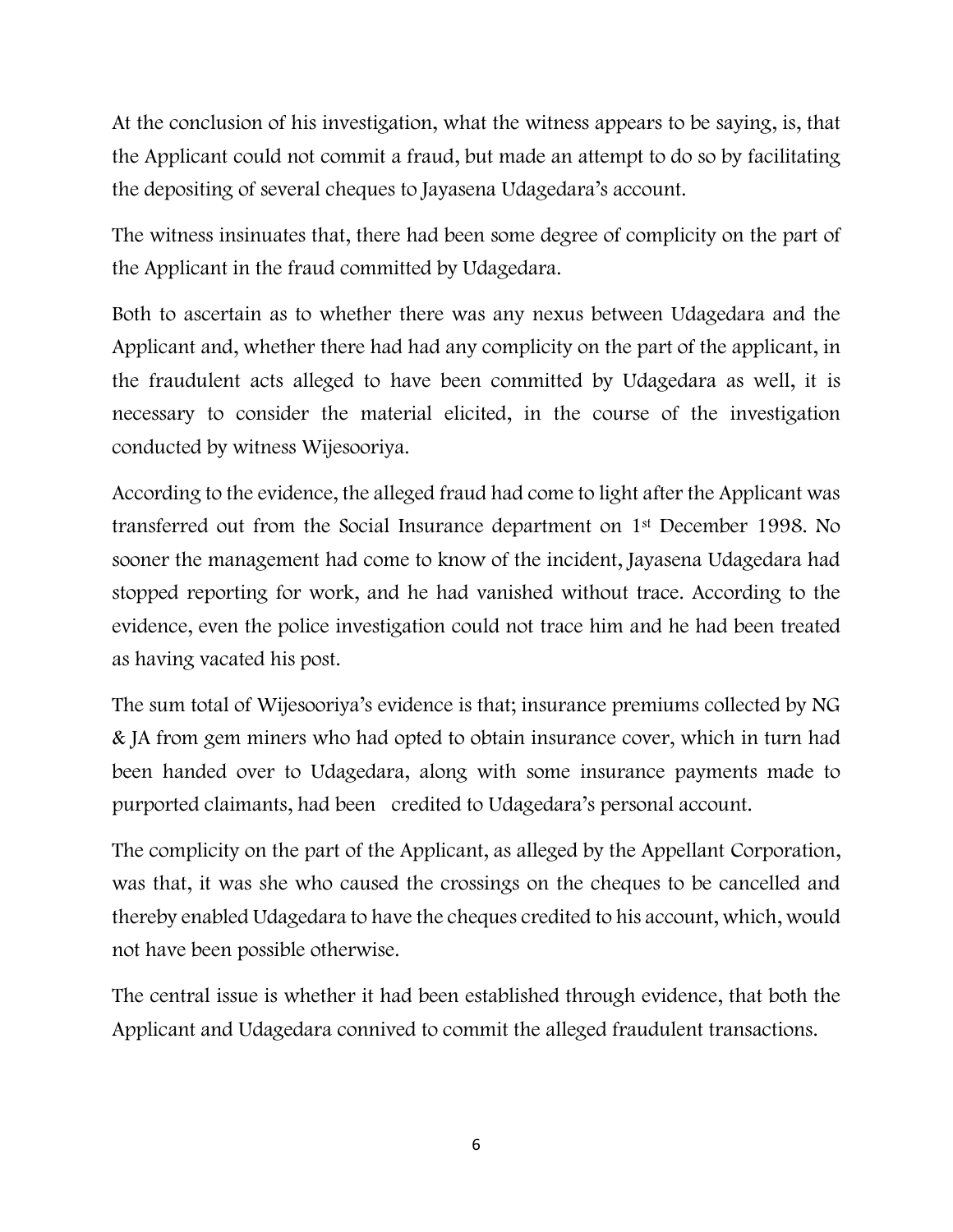At the conclusion of his investigation, what the witness appears to be saying, is, that the Applicant could not commit a fraud, but made an attempt to do so by facilitating the depositing of several cheques to Jayasena Udagedara's account.

The witness insinuates that, there had been some degree of complicity on the part of the Applicant in the fraud committed by Udagedara.

Both to ascertain as to whether there was any nexus between Udagedara and the Applicant and, whether there had had any complicity on the part of the applicant, in the fraudulent acts alleged to have been committed by Udagedara as well, it is necessary to consider the material elicited, in the course of the investigation conducted by witness Wijesooriya.

According to the evidence, the alleged fraud had come to light after the Applicant was transferred out from the Social Insurance department on 1st December 1998. No sooner the management had come to know of the incident, Jayasena Udagedara had stopped reporting for work, and he had vanished without trace. According to the evidence, even the police investigation could not trace him and he had been treated as having vacated his post.

The sum total of Wijesooriya's evidence is that; insurance premiums collected by NG & JA from gem miners who had opted to obtain insurance cover, which in turn had been handed over to Udagedara, along with some insurance payments made to purported claimants, had been credited to Udagedara's personal account.

The complicity on the part of the Applicant, as alleged by the Appellant Corporation, was that, it was she who caused the crossings on the cheques to be cancelled and thereby enabled Udagedara to have the cheques credited to his account, which, would not have been possible otherwise.

The central issue is whether it had been established through evidence, that both the Applicant and Udagedara connived to commit the alleged fraudulent transactions.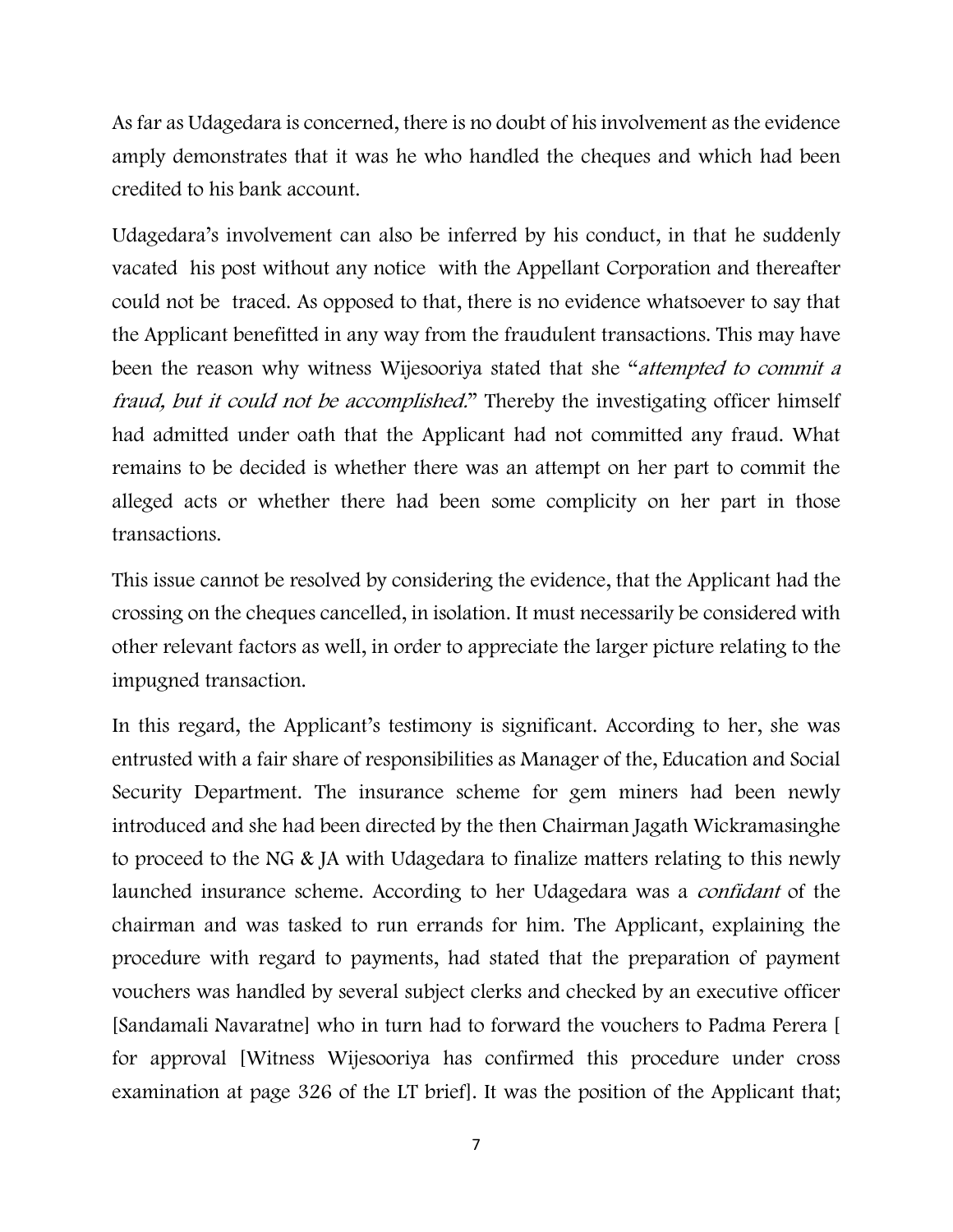As far as Udagedara is concerned, there is no doubt of his involvement as the evidence amply demonstrates that it was he who handled the cheques and which had been credited to his bank account.

Udagedara's involvement can also be inferred by his conduct, in that he suddenly vacated his post without any notice with the Appellant Corporation and thereafter could not be traced. As opposed to that, there is no evidence whatsoever to say that the Applicant benefitted in any way from the fraudulent transactions. This may have been the reason why witness Wijesooriya stated that she "attempted to commit a fraud, but it could not be accomplished." Thereby the investigating officer himself had admitted under oath that the Applicant had not committed any fraud. What remains to be decided is whether there was an attempt on her part to commit the alleged acts or whether there had been some complicity on her part in those transactions.

This issue cannot be resolved by considering the evidence, that the Applicant had the crossing on the cheques cancelled, in isolation. It must necessarily be considered with other relevant factors as well, in order to appreciate the larger picture relating to the impugned transaction.

In this regard, the Applicant's testimony is significant. According to her, she was entrusted with a fair share of responsibilities as Manager of the, Education and Social Security Department. The insurance scheme for gem miners had been newly introduced and she had been directed by the then Chairman Jagath Wickramasinghe to proceed to the NG & JA with Udagedara to finalize matters relating to this newly launched insurance scheme. According to her Udagedara was a *confidant* of the chairman and was tasked to run errands for him. The Applicant, explaining the procedure with regard to payments, had stated that the preparation of payment vouchers was handled by several subject clerks and checked by an executive officer [Sandamali Navaratne] who in turn had to forward the vouchers to Padma Perera [ for approval [Witness Wijesooriya has confirmed this procedure under cross examination at page 326 of the LT brief]. It was the position of the Applicant that;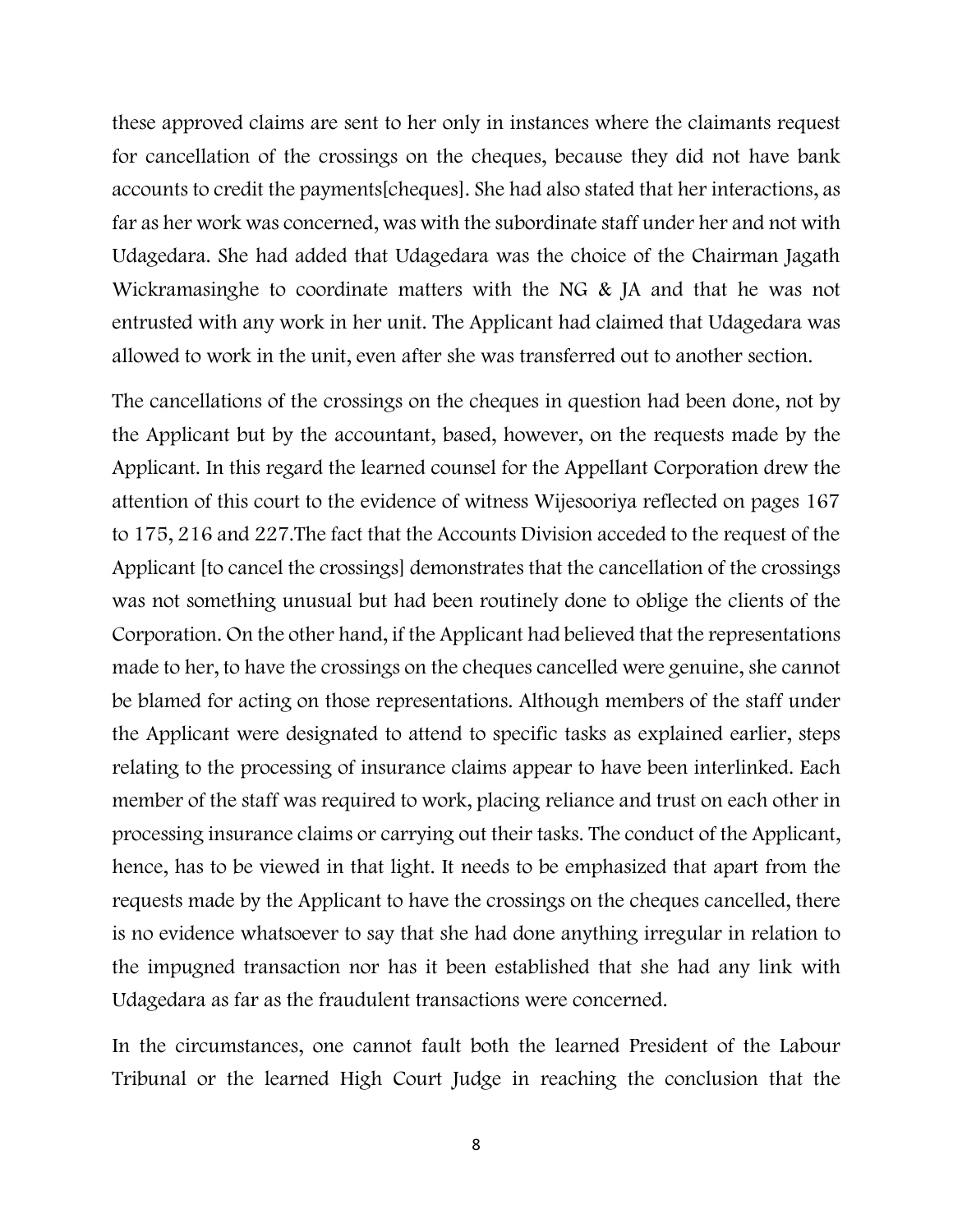these approved claims are sent to her only in instances where the claimants request for cancellation of the crossings on the cheques, because they did not have bank accounts to credit the payments[cheques]. She had also stated that her interactions, as far as her work was concerned, was with the subordinate staff under her and not with Udagedara. She had added that Udagedara was the choice of the Chairman Jagath Wickramasinghe to coordinate matters with the NG & JA and that he was not entrusted with any work in her unit. The Applicant had claimed that Udagedara was allowed to work in the unit, even after she was transferred out to another section.

The cancellations of the crossings on the cheques in question had been done, not by the Applicant but by the accountant, based, however, on the requests made by the Applicant. In this regard the learned counsel for the Appellant Corporation drew the attention of this court to the evidence of witness Wijesooriya reflected on pages 167 to 175, 216 and 227.The fact that the Accounts Division acceded to the request of the Applicant [to cancel the crossings] demonstrates that the cancellation of the crossings was not something unusual but had been routinely done to oblige the clients of the Corporation. On the other hand, if the Applicant had believed that the representations made to her, to have the crossings on the cheques cancelled were genuine, she cannot be blamed for acting on those representations. Although members of the staff under the Applicant were designated to attend to specific tasks as explained earlier, steps relating to the processing of insurance claims appear to have been interlinked. Each member of the staff was required to work, placing reliance and trust on each other in processing insurance claims or carrying out their tasks. The conduct of the Applicant, hence, has to be viewed in that light. It needs to be emphasized that apart from the requests made by the Applicant to have the crossings on the cheques cancelled, there is no evidence whatsoever to say that she had done anything irregular in relation to the impugned transaction nor has it been established that she had any link with Udagedara as far as the fraudulent transactions were concerned.

In the circumstances, one cannot fault both the learned President of the Labour Tribunal or the learned High Court Judge in reaching the conclusion that the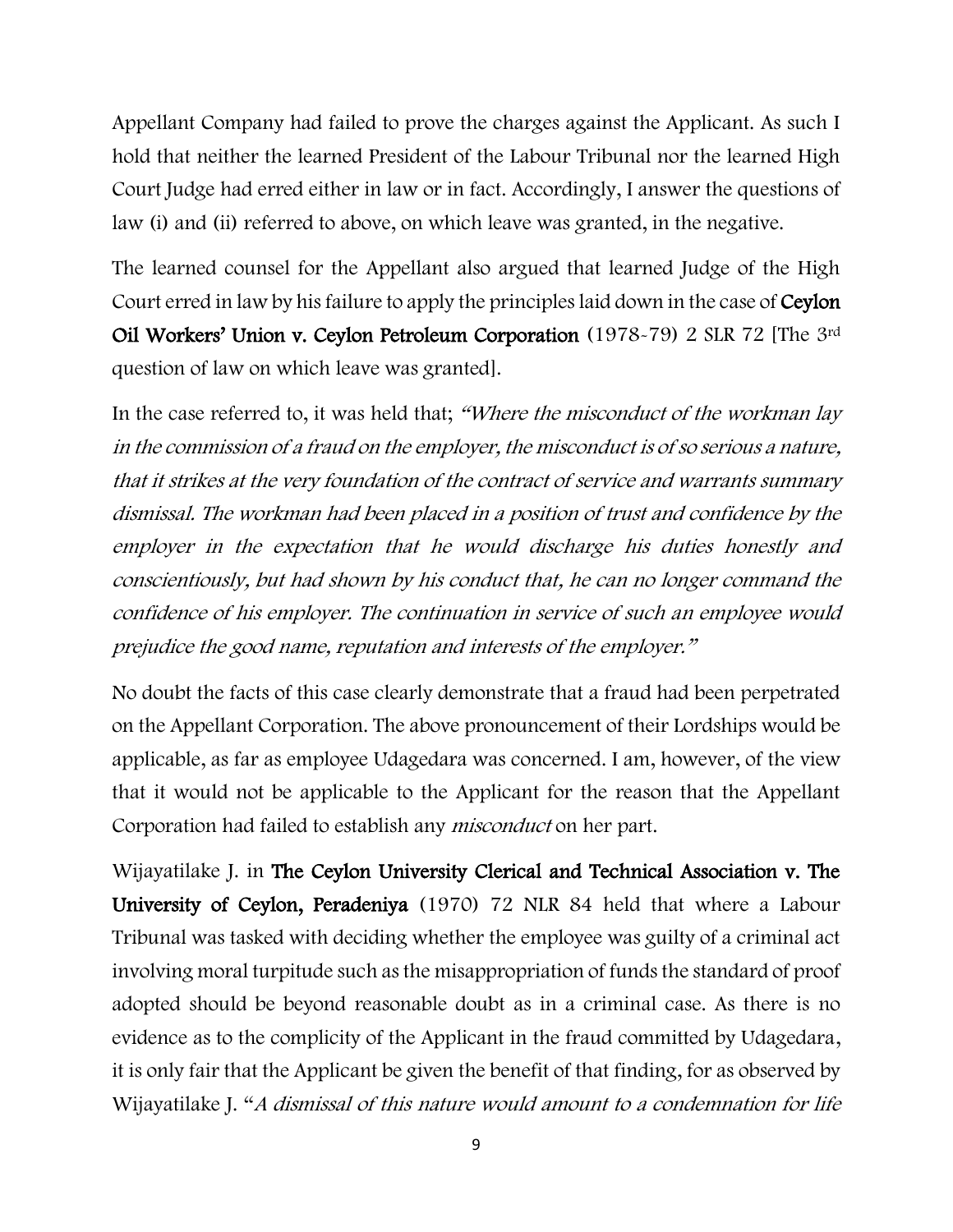Appellant Company had failed to prove the charges against the Applicant. As such I hold that neither the learned President of the Labour Tribunal nor the learned High Court Judge had erred either in law or in fact. Accordingly, I answer the questions of law (i) and (ii) referred to above, on which leave was granted, in the negative.

The learned counsel for the Appellant also argued that learned Judge of the High Court erred in law by his failure to apply the principles laid down in the case of Ceylon Oil Workers' Union v. Ceylon Petroleum Corporation (1978-79) 2 SLR 72 [The 3rd question of law on which leave was granted].

In the case referred to, it was held that; "Where the misconduct of the workman lay in the commission of a fraud on the employer, the misconduct is of so serious a nature, that it strikes at the very foundation of the contract of service and warrants summary dismissal. The workman had been placed in a position of trust and confidence by the employer in the expectation that he would discharge his duties honestly and conscientiously, but had shown by his conduct that, he can no longer command the confidence of his employer. The continuation in service of such an employee would prejudice the good name, reputation and interests of the employer."

No doubt the facts of this case clearly demonstrate that a fraud had been perpetrated on the Appellant Corporation. The above pronouncement of their Lordships would be applicable, as far as employee Udagedara was concerned. I am, however, of the view that it would not be applicable to the Applicant for the reason that the Appellant Corporation had failed to establish any misconduct on her part.

Wijayatilake J. in The Ceylon University Clerical and Technical Association v. The University of Ceylon, Peradeniya (1970) 72 NLR 84 held that where a Labour Tribunal was tasked with deciding whether the employee was guilty of a criminal act involving moral turpitude such as the misappropriation of funds the standard of proof adopted should be beyond reasonable doubt as in a criminal case. As there is no evidence as to the complicity of the Applicant in the fraud committed by Udagedara, it is only fair that the Applicant be given the benefit of that finding, for as observed by Wijayatilake J. "A dismissal of this nature would amount to a condemnation for life